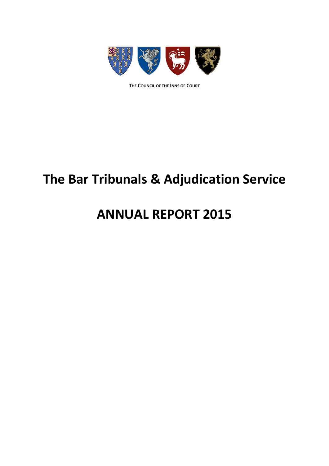

**THE COUNCIL OF THE INNS OF COURT**

## **The Bar Tribunals & Adjudication Service**

### **ANNUAL REPORT 2015**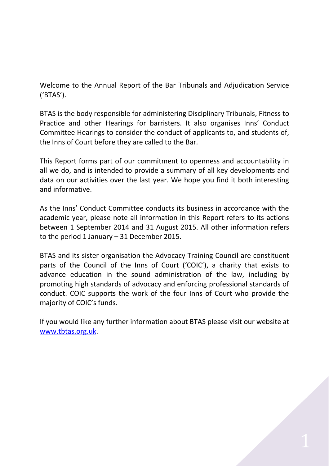Welcome to the Annual Report of the Bar Tribunals and Adjudication Service ('BTAS').

BTAS is the body responsible for administering Disciplinary Tribunals, Fitness to Practice and other Hearings for barristers. It also organises Inns' Conduct Committee Hearings to consider the conduct of applicants to, and students of, the Inns of Court before they are called to the Bar.

This Report forms part of our commitment to openness and accountability in all we do, and is intended to provide a summary of all key developments and data on our activities over the last year. We hope you find it both interesting and informative.

As the Inns' Conduct Committee conducts its business in accordance with the academic year, please note all information in this Report refers to its actions between 1 September 2014 and 31 August 2015. All other information refers to the period 1 January – 31 December 2015.

BTAS and its sister-organisation the Advocacy Training Council are constituent parts of the Council of the Inns of Court ('COIC'), a charity that exists to advance education in the sound administration of the law, including by promoting high standards of advocacy and enforcing professional standards of conduct. COIC supports the work of the four Inns of Court who provide the majority of COIC's funds.

If you would like any further information about BTAS please visit our website at [www.tbtas.org.uk.](http://www.tbtas.org.uk/)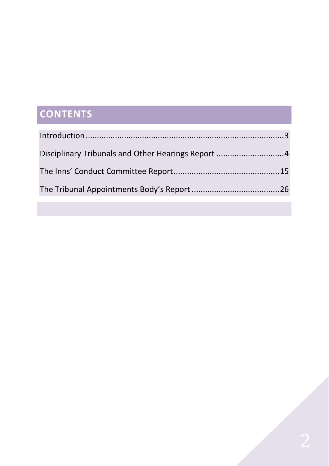# **CONTENTS**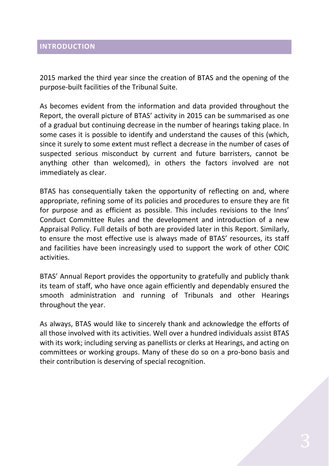#### <span id="page-3-0"></span>**INTRODUCTION**

2015 marked the third year since the creation of BTAS and the opening of the purpose-built facilities of the Tribunal Suite.

As becomes evident from the information and data provided throughout the Report, the overall picture of BTAS' activity in 2015 can be summarised as one of a gradual but continuing decrease in the number of hearings taking place. In some cases it is possible to identify and understand the causes of this (which, since it surely to some extent must reflect a decrease in the number of cases of suspected serious misconduct by current and future barristers, cannot be anything other than welcomed), in others the factors involved are not immediately as clear.

BTAS has consequentially taken the opportunity of reflecting on and, where appropriate, refining some of its policies and procedures to ensure they are fit for purpose and as efficient as possible. This includes revisions to the Inns' Conduct Committee Rules and the development and introduction of a new Appraisal Policy. Full details of both are provided later in this Report. Similarly, to ensure the most effective use is always made of BTAS' resources, its staff and facilities have been increasingly used to support the work of other COIC activities.

BTAS' Annual Report provides the opportunity to gratefully and publicly thank its team of staff, who have once again efficiently and dependably ensured the smooth administration and running of Tribunals and other Hearings throughout the year.

As always, BTAS would like to sincerely thank and acknowledge the efforts of all those involved with its activities. Well over a hundred individuals assist BTAS with its work; including serving as panellists or clerks at Hearings, and acting on committees or working groups. Many of these do so on a pro-bono basis and their contribution is deserving of special recognition.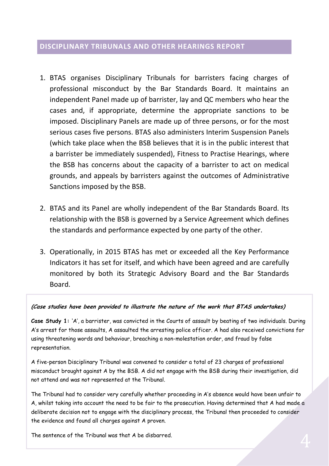#### <span id="page-4-0"></span>**DISCIPLINARY TRIBUNALS AND OTHER HEARINGS REPORT**

- 1. BTAS organises Disciplinary Tribunals for barristers facing charges of professional misconduct by the Bar Standards Board. It maintains an independent Panel made up of barrister, lay and QC members who hear the cases and, if appropriate, determine the appropriate sanctions to be imposed. Disciplinary Panels are made up of three persons, or for the most serious cases five persons. BTAS also administers Interim Suspension Panels (which take place when the BSB believes that it is in the public interest that a barrister be immediately suspended), Fitness to Practise Hearings, where the BSB has concerns about the capacity of a barrister to act on medical grounds, and appeals by barristers against the outcomes of Administrative Sanctions imposed by the BSB.
- 2. BTAS and its Panel are wholly independent of the Bar Standards Board. Its relationship with the BSB is governed by a Service Agreement which defines the standards and performance expected by one party of the other.
- 3. Operationally, in 2015 BTAS has met or exceeded all the Key Performance Indicators it has set for itself, and which have been agreed and are carefully monitored by both its Strategic Advisory Board and the Bar Standards Board.

#### **(Case studies have been provided to illustrate the nature of the work that BTAS undertakes)**

**Case Study 1:** 'A', a barrister, was convicted in the Courts of assault by beating of two individuals. During A's arrest for those assaults, A assaulted the arresting police officer. A had also received convictions for using threatening words and behaviour, breaching a non-molestation order, and fraud by false representation.

A five-person Disciplinary Tribunal was convened to consider a total of 23 charges of professional misconduct brought against A by the BSB. A did not engage with the BSB during their investigation, did not attend and was not represented at the Tribunal.

The Tribunal had to consider very carefully whether proceeding in A's absence would have been unfair to A, whilst taking into account the need to be fair to the prosecution. Having determined that A had made a deliberate decision not to engage with the disciplinary process, the Tribunal then proceeded to consider the evidence and found all charges against A proven.

The sentence of the Tribunal was that A be disbarred.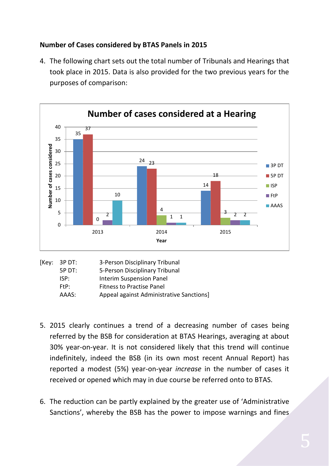### **Number of Cases considered by BTAS Panels in 2015**

4. The following chart sets out the total number of Tribunals and Hearings that took place in 2015. Data is also provided for the two previous years for the purposes of comparison:



| [Key: 3P DT: | 3-Person Disciplinary Tribunal           |
|--------------|------------------------------------------|
| 5P DT:       | 5-Person Disciplinary Tribunal           |
| ISP:         | <b>Interim Suspension Panel</b>          |
| FIP:         | <b>Fitness to Practise Panel</b>         |
| AAAS:        | Appeal against Administrative Sanctions] |
|              |                                          |

- 5. 2015 clearly continues a trend of a decreasing number of cases being referred by the BSB for consideration at BTAS Hearings, averaging at about 30% year-on-year. It is not considered likely that this trend will continue indefinitely, indeed the BSB (in its own most recent Annual Report) has reported a modest (5%) year-on-year *increase* in the number of cases it received or opened which may in due course be referred onto to BTAS.
- 6. The reduction can be partly explained by the greater use of 'Administrative Sanctions', whereby the BSB has the power to impose warnings and fines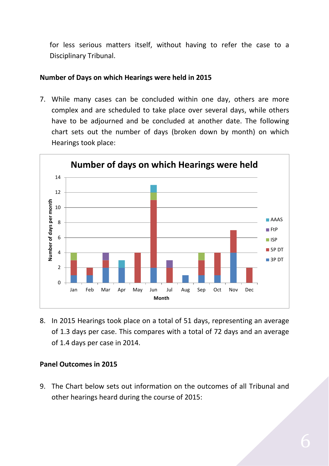for less serious matters itself, without having to refer the case to a Disciplinary Tribunal.

#### **Number of Days on which Hearings were held in 2015**

7. While many cases can be concluded within one day, others are more complex and are scheduled to take place over several days, while others have to be adjourned and be concluded at another date. The following chart sets out the number of days (broken down by month) on which Hearings took place:



8. In 2015 Hearings took place on a total of 51 days, representing an average of 1.3 days per case. This compares with a total of 72 days and an average of 1.4 days per case in 2014.

#### **Panel Outcomes in 2015**

9. The Chart below sets out information on the outcomes of all Tribunal and other hearings heard during the course of 2015: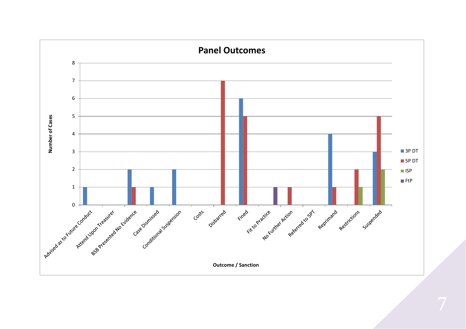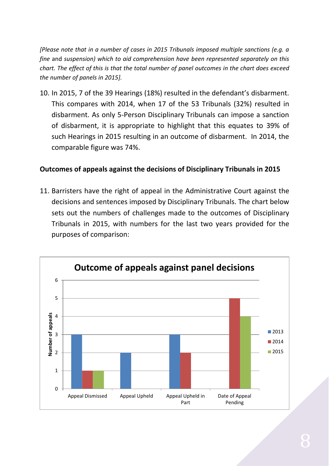*[Please note that in a number of cases in 2015 Tribunals imposed multiple sanctions (e.g. a fine* and *suspension) which to aid comprehension have been represented separately on this chart. The effect of this is that the total number of panel outcomes in the chart does exceed the number of panels in 2015].* 

10. In 2015, 7 of the 39 Hearings (18%) resulted in the defendant's disbarment. This compares with 2014, when 17 of the 53 Tribunals (32%) resulted in disbarment. As only 5-Person Disciplinary Tribunals can impose a sanction of disbarment, it is appropriate to highlight that this equates to 39% of such Hearings in 2015 resulting in an outcome of disbarment. In 2014, the comparable figure was 74%.

#### **Outcomes of appeals against the decisions of Disciplinary Tribunals in 2015**

11. Barristers have the right of appeal in the Administrative Court against the decisions and sentences imposed by Disciplinary Tribunals. The chart below sets out the numbers of challenges made to the outcomes of Disciplinary Tribunals in 2015, with numbers for the last two years provided for the purposes of comparison:

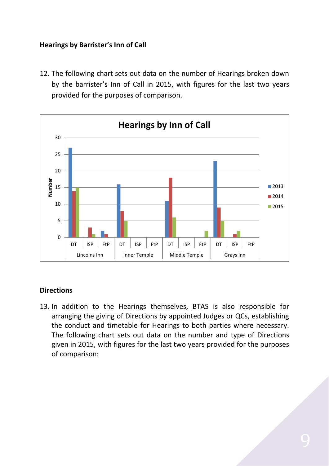#### **Hearings by Barrister's Inn of Call**

12. The following chart sets out data on the number of Hearings broken down by the barrister's Inn of Call in 2015, with figures for the last two years provided for the purposes of comparison.



#### **Directions**

13. In addition to the Hearings themselves, BTAS is also responsible for arranging the giving of Directions by appointed Judges or QCs, establishing the conduct and timetable for Hearings to both parties where necessary. The following chart sets out data on the number and type of Directions given in 2015, with figures for the last two years provided for the purposes of comparison: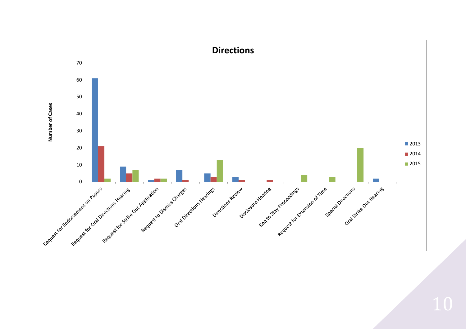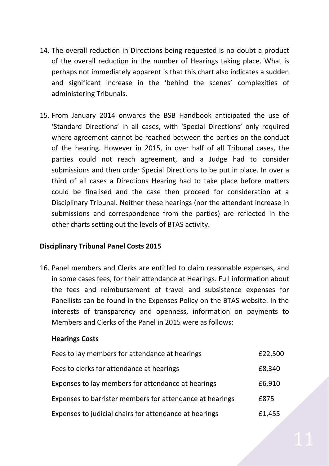- 14. The overall reduction in Directions being requested is no doubt a product of the overall reduction in the number of Hearings taking place. What is perhaps not immediately apparent is that this chart also indicates a sudden and significant increase in the 'behind the scenes' complexities of administering Tribunals.
- 15. From January 2014 onwards the BSB Handbook anticipated the use of 'Standard Directions' in all cases, with 'Special Directions' only required where agreement cannot be reached between the parties on the conduct of the hearing. However in 2015, in over half of all Tribunal cases, the parties could not reach agreement, and a Judge had to consider submissions and then order Special Directions to be put in place. In over a third of all cases a Directions Hearing had to take place before matters could be finalised and the case then proceed for consideration at a Disciplinary Tribunal. Neither these hearings (nor the attendant increase in submissions and correspondence from the parties) are reflected in the other charts setting out the levels of BTAS activity.

#### **Disciplinary Tribunal Panel Costs 2015**

16. Panel members and Clerks are entitled to claim reasonable expenses, and in some cases fees, for their attendance at Hearings. Full information about the fees and reimbursement of travel and subsistence expenses for Panellists can be found in the Expenses Policy on the BTAS website. In the interests of transparency and openness, information on payments to Members and Clerks of the Panel in 2015 were as follows:

#### **Hearings Costs**

| Fees to lay members for attendance at hearings           | £22,500 |
|----------------------------------------------------------|---------|
| Fees to clerks for attendance at hearings                | £8,340  |
| Expenses to lay members for attendance at hearings       | £6,910  |
| Expenses to barrister members for attendance at hearings | £875    |
| Expenses to judicial chairs for attendance at hearings   | £1,455  |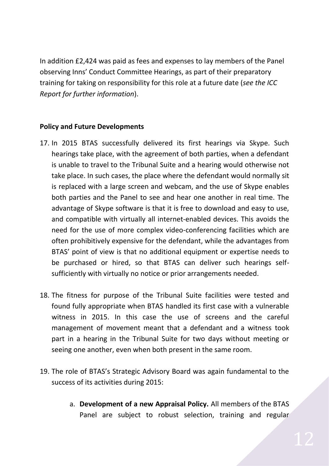In addition £2,424 was paid as fees and expenses to lay members of the Panel observing Inns' Conduct Committee Hearings, as part of their preparatory training for taking on responsibility for this role at a future date (*see the ICC Report for further information*).

#### **Policy and Future Developments**

- 17. In 2015 BTAS successfully delivered its first hearings via Skype. Such hearings take place, with the agreement of both parties, when a defendant is unable to travel to the Tribunal Suite and a hearing would otherwise not take place. In such cases, the place where the defendant would normally sit is replaced with a large screen and webcam, and the use of Skype enables both parties and the Panel to see and hear one another in real time. The advantage of Skype software is that it is free to download and easy to use, and compatible with virtually all internet-enabled devices. This avoids the need for the use of more complex video-conferencing facilities which are often prohibitively expensive for the defendant, while the advantages from BTAS' point of view is that no additional equipment or expertise needs to be purchased or hired, so that BTAS can deliver such hearings selfsufficiently with virtually no notice or prior arrangements needed.
- 18. The fitness for purpose of the Tribunal Suite facilities were tested and found fully appropriate when BTAS handled its first case with a vulnerable witness in 2015. In this case the use of screens and the careful management of movement meant that a defendant and a witness took part in a hearing in the Tribunal Suite for two days without meeting or seeing one another, even when both present in the same room.
- 19. The role of BTAS's Strategic Advisory Board was again fundamental to the success of its activities during 2015:
	- a. **Development of a new Appraisal Policy.** All members of the BTAS Panel are subject to robust selection, training and regular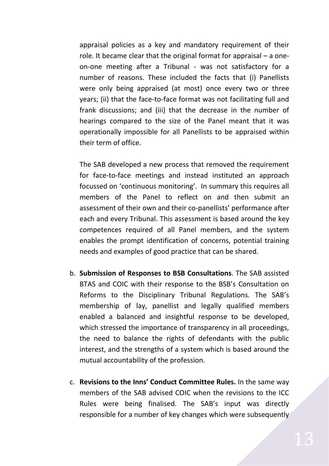appraisal policies as a key and mandatory requirement of their role. It became clear that the original format for appraisal – a oneon-one meeting after a Tribunal - was not satisfactory for a number of reasons. These included the facts that (i) Panellists were only being appraised (at most) once every two or three years; (ii) that the face-to-face format was not facilitating full and frank discussions; and (iii) that the decrease in the number of hearings compared to the size of the Panel meant that it was operationally impossible for all Panellists to be appraised within their term of office.

The SAB developed a new process that removed the requirement for face-to-face meetings and instead instituted an approach focussed on 'continuous monitoring'. In summary this requires all members of the Panel to reflect on and then submit an assessment of their own and their co-panellists' performance after each and every Tribunal. This assessment is based around the key competences required of all Panel members, and the system enables the prompt identification of concerns, potential training needs and examples of good practice that can be shared.

- b. **Submission of Responses to BSB Consultations**. The SAB assisted BTAS and COIC with their response to the BSB's Consultation on Reforms to the Disciplinary Tribunal Regulations. The SAB's membership of lay, panellist and legally qualified members enabled a balanced and insightful response to be developed, which stressed the importance of transparency in all proceedings, the need to balance the rights of defendants with the public interest, and the strengths of a system which is based around the mutual accountability of the profession.
- c. **Revisions to the Inns' Conduct Committee Rules.** In the same way members of the SAB advised COIC when the revisions to the ICC Rules were being finalised. The SAB's input was directly responsible for a number of key changes which were subsequently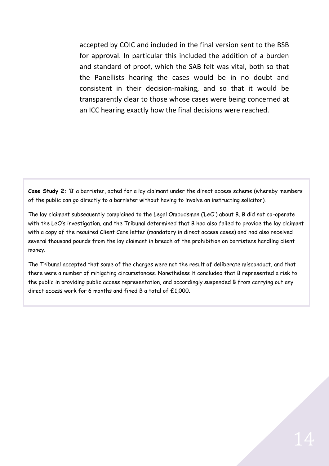accepted by COIC and included in the final version sent to the BSB for approval. In particular this included the addition of a burden and standard of proof, which the SAB felt was vital, both so that the Panellists hearing the cases would be in no doubt and consistent in their decision-making, and so that it would be transparently clear to those whose cases were being concerned at an ICC hearing exactly how the final decisions were reached.

**Case Study 2:** 'B' a barrister, acted for a lay claimant under the direct access scheme (whereby members of the public can go directly to a barrister without having to involve an instructing solicitor).

The lay claimant subsequently complained to the Legal Ombudsman ('LeO') about B. B did not co-operate with the LeO's investigation, and the Tribunal determined that B had also failed to provide the lay claimant with a copy of the required Client Care letter (mandatory in direct access cases) and had also received several thousand pounds from the lay claimant in breach of the prohibition on barristers handling client money.

The Tribunal accepted that some of the charges were not the result of deliberate misconduct, and that there were a number of mitigating circumstances. Nonetheless it concluded that B represented a risk to the public in providing public access representation, and accordingly suspended B from carrying out any direct access work for 6 months and fined B a total of  $f.1,000$ .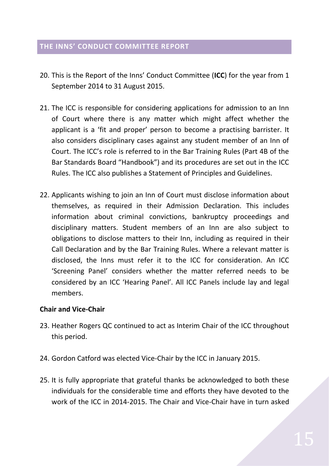#### <span id="page-15-0"></span>**THE INNS' CONDUCT COMMITTEE REPORT**

- 20. This is the Report of the Inns' Conduct Committee (**ICC**) for the year from 1 September 2014 to 31 August 2015.
- 21. The ICC is responsible for considering applications for admission to an Inn of Court where there is any matter which might affect whether the applicant is a 'fit and proper' person to become a practising barrister. It also considers disciplinary cases against any student member of an Inn of Court. The ICC's role is referred to in the Bar Training Rules (Part 4B of the Bar Standards Board "Handbook") and its procedures are set out in the ICC Rules. The ICC also publishes a Statement of Principles and Guidelines.
- 22. Applicants wishing to join an Inn of Court must disclose information about themselves, as required in their Admission Declaration. This includes information about criminal convictions, bankruptcy proceedings and disciplinary matters. Student members of an Inn are also subject to obligations to disclose matters to their Inn, including as required in their Call Declaration and by the Bar Training Rules. Where a relevant matter is disclosed, the Inns must refer it to the ICC for consideration. An ICC 'Screening Panel' considers whether the matter referred needs to be considered by an ICC 'Hearing Panel'. All ICC Panels include lay and legal members.

#### **Chair and Vice-Chair**

- 23. Heather Rogers QC continued to act as Interim Chair of the ICC throughout this period.
- 24. Gordon Catford was elected Vice-Chair by the ICC in January 2015.
- 25. It is fully appropriate that grateful thanks be acknowledged to both these individuals for the considerable time and efforts they have devoted to the work of the ICC in 2014-2015. The Chair and Vice-Chair have in turn asked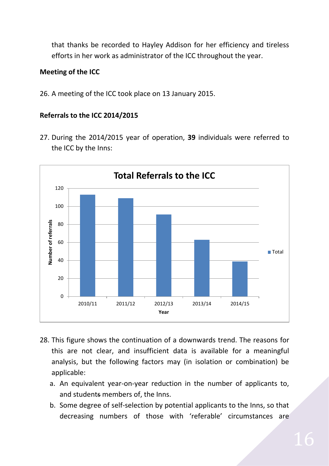that thanks be recorded to Hayley Addison for her efficiency and tireless efforts in her work as administrator of the ICC throughout the year.

#### **Meeting of the ICC**

26. A meeting of the ICC took place on 13 January 2015.

#### **Referrals to the ICC 2014/2015**

27. During the 2014/2015 year of operation, **39** individuals were referred to the ICC by the Inns:



- 28. This figure shows the continuation of a downwards trend. The reasons for this are not clear, and insufficient data is available for a meaningful analysis, but the following factors may (in isolation or combination) be applicable:
	- a. An equivalent year-on-year reduction in the number of applicants to, and students members of, the Inns.
	- b. Some degree of self-selection by potential applicants to the Inns, so that decreasing numbers of those with 'referable' circumstances are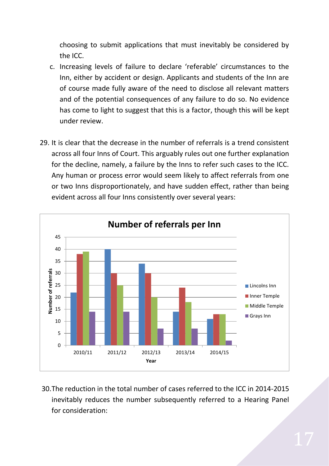choosing to submit applications that must inevitably be considered by the ICC.

- c. Increasing levels of failure to declare 'referable' circumstances to the Inn, either by accident or design. Applicants and students of the Inn are of course made fully aware of the need to disclose all relevant matters and of the potential consequences of any failure to do so. No evidence has come to light to suggest that this is a factor, though this will be kept under review.
- 29. It is clear that the decrease in the number of referrals is a trend consistent across all four Inns of Court. This arguably rules out one further explanation for the decline, namely, a failure by the Inns to refer such cases to the ICC. Any human or process error would seem likely to affect referrals from one or two Inns disproportionately, and have sudden effect, rather than being evident across all four Inns consistently over several years:



30.The reduction in the total number of cases referred to the ICC in 2014-2015 inevitably reduces the number subsequently referred to a Hearing Panel for consideration: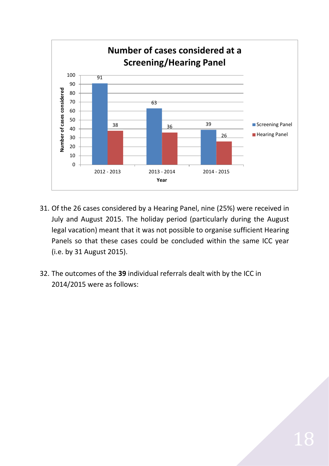

- 31. Of the 26 cases considered by a Hearing Panel, nine (25%) were received in July and August 2015. The holiday period (particularly during the August legal vacation) meant that it was not possible to organise sufficient Hearing Panels so that these cases could be concluded within the same ICC year (i.e. by 31 August 2015).
- 32. The outcomes of the **39** individual referrals dealt with by the ICC in 2014/2015 were as follows: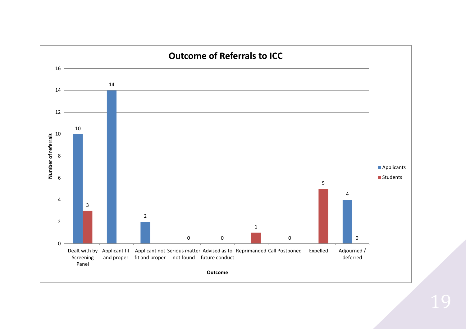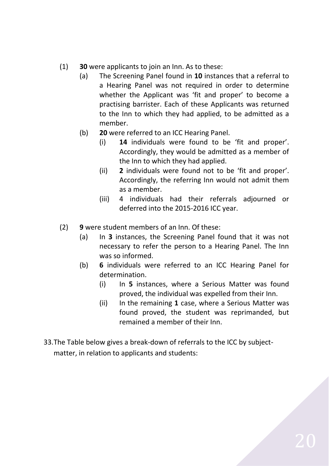- (1) **30** were applicants to join an Inn. As to these:
	- (a) The Screening Panel found in **10** instances that a referral to a Hearing Panel was not required in order to determine whether the Applicant was 'fit and proper' to become a practising barrister. Each of these Applicants was returned to the Inn to which they had applied, to be admitted as a member.
	- (b) **20** were referred to an ICC Hearing Panel.
		- (i) **14** individuals were found to be 'fit and proper'. Accordingly, they would be admitted as a member of the Inn to which they had applied.
		- (ii) **2** individuals were found not to be 'fit and proper'. Accordingly, the referring Inn would not admit them as a member.
		- (iii) 4 individuals had their referrals adjourned or deferred into the 2015-2016 ICC year.
- (2) **9** were student members of an Inn. Of these:
	- (a) In **3** instances, the Screening Panel found that it was not necessary to refer the person to a Hearing Panel. The Inn was so informed.
	- (b) **6** individuals were referred to an ICC Hearing Panel for determination.
		- (i) In **5** instances, where a Serious Matter was found proved, the individual was expelled from their Inn.
		- (ii) In the remaining **1** case, where a Serious Matter was found proved, the student was reprimanded, but remained a member of their Inn.
- 33.The Table below gives a break-down of referrals to the ICC by subjectmatter, in relation to applicants and students: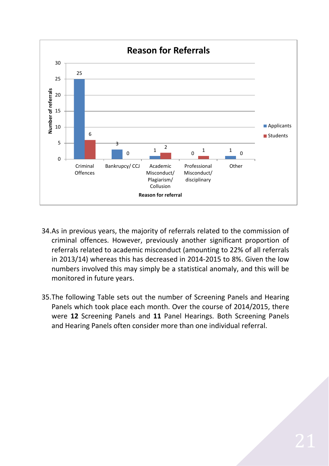

- 34.As in previous years, the majority of referrals related to the commission of criminal offences. However, previously another significant proportion of referrals related to academic misconduct (amounting to 22% of all referrals in 2013/14) whereas this has decreased in 2014-2015 to 8%. Given the low numbers involved this may simply be a statistical anomaly, and this will be monitored in future years.
- 35.The following Table sets out the number of Screening Panels and Hearing Panels which took place each month. Over the course of 2014/2015, there were **12** Screening Panels and **11** Panel Hearings. Both Screening Panels and Hearing Panels often consider more than one individual referral.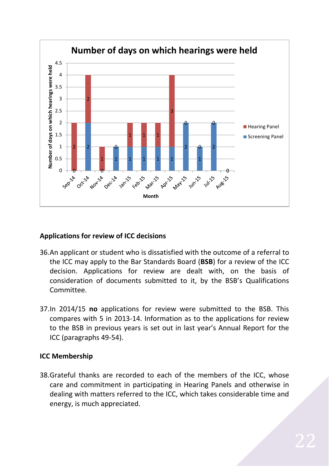

#### **Applications for review of ICC decisions**

- 36.An applicant or student who is dissatisfied with the outcome of a referral to the ICC may apply to the Bar Standards Board (**BSB**) for a review of the ICC decision. Applications for review are dealt with, on the basis of consideration of documents submitted to it, by the BSB's Qualifications Committee.
- 37.In 2014/15 **no** applications for review were submitted to the BSB. This compares with 5 in 2013-14. Information as to the applications for review to the BSB in previous years is set out in last year's Annual Report for the ICC (paragraphs 49-54).

#### **ICC Membership**

38.Grateful thanks are recorded to each of the members of the ICC, whose care and commitment in participating in Hearing Panels and otherwise in dealing with matters referred to the ICC, which takes considerable time and energy, is much appreciated.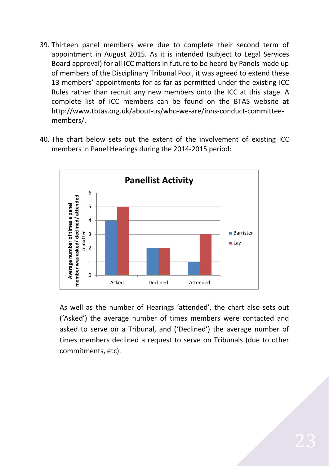- 39. Thirteen panel members were due to complete their second term of appointment in August 2015. As it is intended (subject to Legal Services Board approval) for all ICC matters in future to be heard by Panels made up of members of the Disciplinary Tribunal Pool, it was agreed to extend these 13 members' appointments for as far as permitted under the existing ICC Rules rather than recruit any new members onto the ICC at this stage. A complete list of ICC members can be found on the BTAS website at [http://www.tbtas.org.uk/about-us/who-we-are/inns-conduct-committee](http://www.tbtas.org.uk/about-us/who-we-are/inns-conduct-committee-members/)[members/.](http://www.tbtas.org.uk/about-us/who-we-are/inns-conduct-committee-members/)
- 40. The chart below sets out the extent of the involvement of existing ICC members in Panel Hearings during the 2014-2015 period:



As well as the number of Hearings 'attended', the chart also sets out ('Asked') the average number of times members were contacted and asked to serve on a Tribunal, and ('Declined') the average number of times members declined a request to serve on Tribunals (due to other commitments, etc).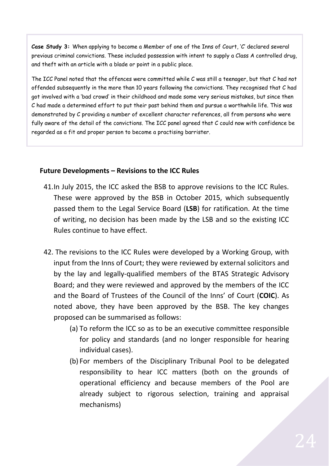**Case Study 3:** When applying to become a Member of one of the Inns of Court, 'C' declared several previous criminal convictions. These included possession with intent to supply a Class A controlled drug, and theft with an article with a blade or point in a public place.

The ICC Panel noted that the offences were committed while C was still a teenager, but that C had not offended subsequently in the more than 10 years following the convictions. They recognised that C had got involved with a 'bad crowd' in their childhood and made some very serious mistakes, but since then C had made a determined effort to put their past behind them and pursue a worthwhile life. This was demonstrated by C providing a number of excellent character references, all from persons who were fully aware of the detail of the convictions. The ICC panel agreed that C could now with confidence be regarded as a fit and proper person to become a practising barrister.

#### **Future Developments – Revisions to the ICC Rules**

- 41.In July 2015, the ICC asked the BSB to approve revisions to the ICC Rules. These were approved by the BSB in October 2015, which subsequently passed them to the Legal Service Board (**LSB**) for ratification. At the time of writing, no decision has been made by the LSB and so the existing ICC Rules continue to have effect.
- 42. The revisions to the ICC Rules were developed by a Working Group, with input from the Inns of Court; they were reviewed by external solicitors and by the lay and legally-qualified members of the BTAS Strategic Advisory Board; and they were reviewed and approved by the members of the ICC and the Board of Trustees of the Council of the Inns' of Court (**COIC**). As noted above, they have been approved by the BSB. The key changes proposed can be summarised as follows:
	- (a) To reform the ICC so as to be an executive committee responsible for policy and standards (and no longer responsible for hearing individual cases).
	- (b) For members of the Disciplinary Tribunal Pool to be delegated responsibility to hear ICC matters (both on the grounds of operational efficiency and because members of the Pool are already subject to rigorous selection, training and appraisal mechanisms)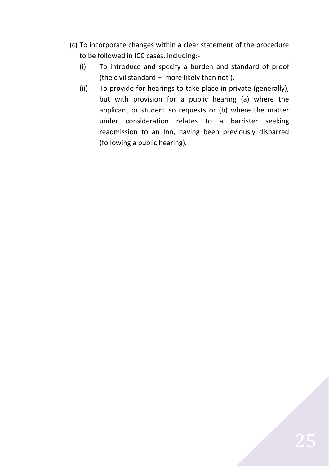- (c) To incorporate changes within a clear statement of the procedure to be followed in ICC cases, including:-
	- (i) To introduce and specify a burden and standard of proof (the civil standard – 'more likely than not').
	- (ii) To provide for hearings to take place in private (generally), but with provision for a public hearing (a) where the applicant or student so requests or (b) where the matter under consideration relates to a barrister seeking readmission to an Inn, having been previously disbarred (following a public hearing).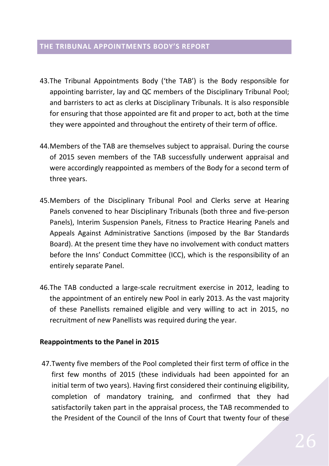#### <span id="page-26-0"></span>**THE TRIBUNAL APPOINTMENTS BODY'S REPORT**

- 43.The Tribunal Appointments Body ('the TAB') is the Body responsible for appointing barrister, lay and QC members of the Disciplinary Tribunal Pool; and barristers to act as clerks at Disciplinary Tribunals. It is also responsible for ensuring that those appointed are fit and proper to act, both at the time they were appointed and throughout the entirety of their term of office.
- 44.Members of the TAB are themselves subject to appraisal. During the course of 2015 seven members of the TAB successfully underwent appraisal and were accordingly reappointed as members of the Body for a second term of three years.
- 45.Members of the Disciplinary Tribunal Pool and Clerks serve at Hearing Panels convened to hear Disciplinary Tribunals (both three and five-person Panels), Interim Suspension Panels, Fitness to Practice Hearing Panels and Appeals Against Administrative Sanctions (imposed by the Bar Standards Board). At the present time they have no involvement with conduct matters before the Inns' Conduct Committee (ICC), which is the responsibility of an entirely separate Panel.
- 46.The TAB conducted a large-scale recruitment exercise in 2012, leading to the appointment of an entirely new Pool in early 2013. As the vast majority of these Panellists remained eligible and very willing to act in 2015, no recruitment of new Panellists was required during the year.

#### **Reappointments to the Panel in 2015**

47.Twenty five members of the Pool completed their first term of office in the first few months of 2015 (these individuals had been appointed for an initial term of two years). Having first considered their continuing eligibility, completion of mandatory training, and confirmed that they had satisfactorily taken part in the appraisal process, the TAB recommended to the President of the Council of the Inns of Court that twenty four of these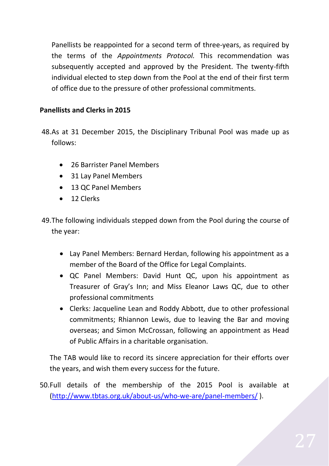Panellists be reappointed for a second term of three-years, as required by the terms of the *Appointments Protocol.* This recommendation was subsequently accepted and approved by the President. The twenty-fifth individual elected to step down from the Pool at the end of their first term of office due to the pressure of other professional commitments.

### **Panellists and Clerks in 2015**

48.As at 31 December 2015, the Disciplinary Tribunal Pool was made up as follows:

- 26 Barrister Panel Members
- 31 Lay Panel Members
- 13 QC Panel Members
- 12 Clerks
- 49.The following individuals stepped down from the Pool during the course of the year:
	- Lay Panel Members: Bernard Herdan, following his appointment as a member of the Board of the Office for Legal Complaints.
	- QC Panel Members: David Hunt QC, upon his appointment as Treasurer of Gray's Inn; and Miss Eleanor Laws QC, due to other professional commitments
	- Clerks: Jacqueline Lean and Roddy Abbott, due to other professional commitments; Rhiannon Lewis, due to leaving the Bar and moving overseas; and Simon McCrossan, following an appointment as Head of Public Affairs in a charitable organisation.

The TAB would like to record its sincere appreciation for their efforts over the years, and wish them every success for the future.

50.Full details of the membership of the 2015 Pool is available at [\(http://www.tbtas.org.uk/about-us/who-we-are/panel-members/](http://www.tbtas.org.uk/about-us/who-we-are/panel-members/) ).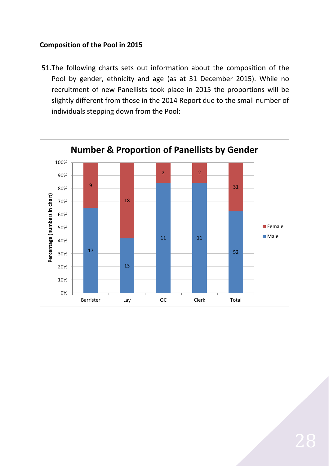#### **Composition of the Pool in 2015**

51.The following charts sets out information about the composition of the Pool by gender, ethnicity and age (as at 31 December 2015). While no recruitment of new Panellists took place in 2015 the proportions will be slightly different from those in the 2014 Report due to the small number of individuals stepping down from the Pool:

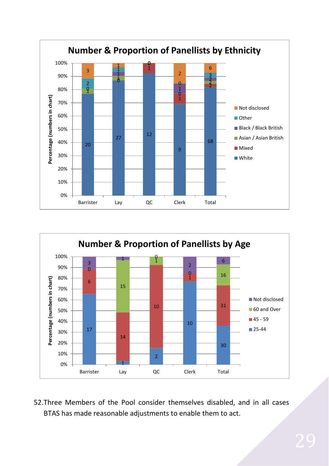



52.Three Members of the Pool consider themselves disabled, and in all cases BTAS has made reasonable adjustments to enable them to act.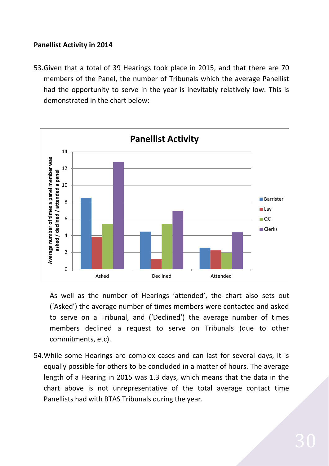#### **Panellist Activity in 2014**

53.Given that a total of 39 Hearings took place in 2015, and that there are 70 members of the Panel, the number of Tribunals which the average Panellist had the opportunity to serve in the year is inevitably relatively low. This is demonstrated in the chart below:



As well as the number of Hearings 'attended', the chart also sets out ('Asked') the average number of times members were contacted and asked to serve on a Tribunal, and ('Declined') the average number of times members declined a request to serve on Tribunals (due to other commitments, etc).

54.While some Hearings are complex cases and can last for several days, it is equally possible for others to be concluded in a matter of hours. The average length of a Hearing in 2015 was 1.3 days, which means that the data in the chart above is not unrepresentative of the total average contact time Panellists had with BTAS Tribunals during the year.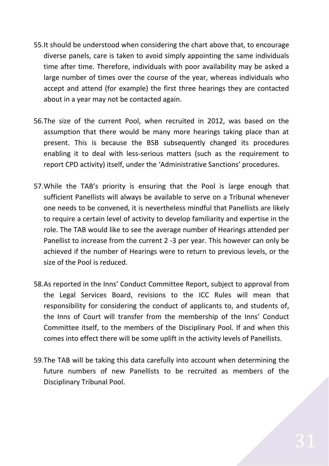- 55.It should be understood when considering the chart above that, to encourage diverse panels, care is taken to avoid simply appointing the same individuals time after time. Therefore, individuals with poor availability may be asked a large number of times over the course of the year, whereas individuals who accept and attend (for example) the first three hearings they are contacted about in a year may not be contacted again.
- 56.The size of the current Pool, when recruited in 2012, was based on the assumption that there would be many more hearings taking place than at present. This is because the BSB subsequently changed its procedures enabling it to deal with less-serious matters (such as the requirement to report CPD activity) itself, under the 'Administrative Sanctions' procedures.
- 57.While the TAB's priority is ensuring that the Pool is large enough that sufficient Panellists will always be available to serve on a Tribunal whenever one needs to be convened, it is nevertheless mindful that Panellists are likely to require a certain level of activity to develop familiarity and expertise in the role. The TAB would like to see the average number of Hearings attended per Panellist to increase from the current 2 -3 per year. This however can only be achieved if the number of Hearings were to return to previous levels, or the size of the Pool is reduced.
- 58.As reported in the Inns' Conduct Committee Report, subject to approval from the Legal Services Board, revisions to the ICC Rules will mean that responsibility for considering the conduct of applicants to, and students of, the Inns of Court will transfer from the membership of the Inns' Conduct Committee itself, to the members of the Disciplinary Pool. If and when this comes into effect there will be some uplift in the activity levels of Panellists.
- 59.The TAB will be taking this data carefully into account when determining the future numbers of new Panellists to be recruited as members of the Disciplinary Tribunal Pool.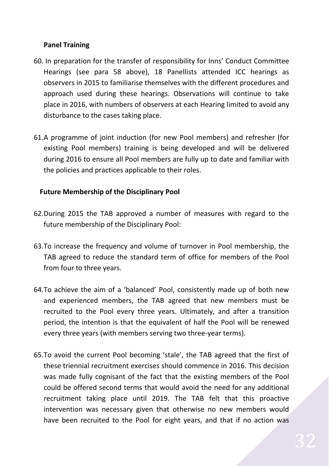#### **Panel Training**

- 60. In preparation for the transfer of responsibility for Inns' Conduct Committee Hearings (see para 58 above), 18 Panellists attended ICC hearings as observers in 2015 to familiarise themselves with the different procedures and approach used during these hearings. Observations will continue to take place in 2016, with numbers of observers at each Hearing limited to avoid any disturbance to the cases taking place.
- 61.A programme of joint induction (for new Pool members) and refresher (for existing Pool members) training is being developed and will be delivered during 2016 to ensure all Pool members are fully up to date and familiar with the policies and practices applicable to their roles.

#### **Future Membership of the Disciplinary Pool**

- 62.During 2015 the TAB approved a number of measures with regard to the future membership of the Disciplinary Pool:
- 63.To increase the frequency and volume of turnover in Pool membership, the TAB agreed to reduce the standard term of office for members of the Pool from four to three years.
- 64.To achieve the aim of a 'balanced' Pool, consistently made up of both new and experienced members, the TAB agreed that new members must be recruited to the Pool every three years. Ultimately, and after a transition period, the intention is that the equivalent of half the Pool will be renewed every three years (with members serving two three-year terms).
- 65.To avoid the current Pool becoming 'stale', the TAB agreed that the first of these triennial recruitment exercises should commence in 2016. This decision was made fully cognisant of the fact that the existing members of the Pool could be offered second terms that would avoid the need for any additional recruitment taking place until 2019. The TAB felt that this proactive intervention was necessary given that otherwise no new members would have been recruited to the Pool for eight years, and that if no action was